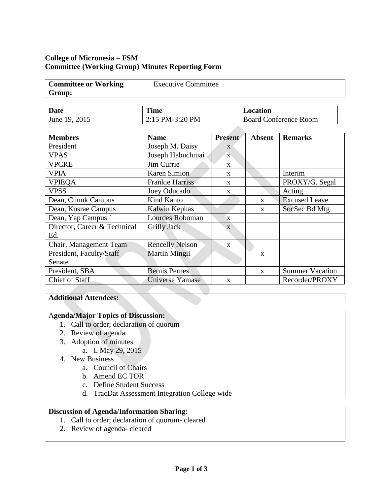## **College of Micronesia – FSM Committee (Working Group) Minutes Reporting Form**

| <b>Committee or Working</b> | <b>Executive Committee</b> |
|-----------------------------|----------------------------|
| Group:                      |                            |

| <b>Date</b>   | <b>Time</b>     | Location                     |
|---------------|-----------------|------------------------------|
| June 19, 2015 | 2:15 PM-3:20 PM | <b>Board Conference Room</b> |

| <b>Members</b>               | <b>Name</b>            | Present      | <b>Absent</b> | <b>Remarks</b>         |
|------------------------------|------------------------|--------------|---------------|------------------------|
| President                    | Joseph M. Daisy        | $\mathbf{X}$ |               |                        |
| <b>VPAS</b>                  | Joseph Habuchmai       | $\mathbf{X}$ |               |                        |
| <b>VPCRE</b>                 | Jim Currie             | $\mathbf{X}$ |               |                        |
| <b>VPIA</b>                  | Karen Simion           | $\mathbf{X}$ |               | Interim                |
| <b>VPIEOA</b>                | <b>Frankie Harriss</b> | $\mathbf{X}$ |               | PROXY/G. Segal         |
| <b>VPSS</b>                  | Joey Oducado           | X            |               | Acting                 |
| Dean, Chuuk Campus           | Kind Kanto             |              | $\mathbf{X}$  | <b>Excused Leave</b>   |
| Dean, Kosrae Campus          | Kalwin Kephas          |              | $\mathbf{x}$  | SocSec Bd Mtg          |
| Dean, Yap Campus             | Lourdes Roboman        | $\mathbf{x}$ |               |                        |
| Director, Career & Technical | Grilly Jack            | $\mathbf{X}$ |               |                        |
| Ed.                          |                        |              |               |                        |
| Chair, Management Team       | <b>Rencelly Nelson</b> | $\mathbf{X}$ |               |                        |
| President, Faculty/Staff     | <b>Martin Mingii</b>   |              | X             |                        |
| Senate                       |                        |              |               |                        |
| President, SBA               | <b>Bernis Pernes</b>   |              | X             | <b>Summer Vacation</b> |
| Chief of Staff               | Universe Yamase        | $\mathbf{x}$ |               | Recorder/PROXY         |

## **Additional Attendees:**

## A**genda/Major Topics of Discussion:**

- 1. Call to order; declaration of quorum
- 2. Review of agenda
- 3. Adoption of minutes
	- a. I. May 29, 2015
- 4. New Business
	- a. Council of Chairs
	- b. Amend EC TOR
	- c. Define Student Success
	- d. TracDat Assessment Integration College wide

## **Discussion of Agenda/Information Sharing:**

- 1. Call to order; declaration of quorum- cleared
- 2. Review of agenda- cleared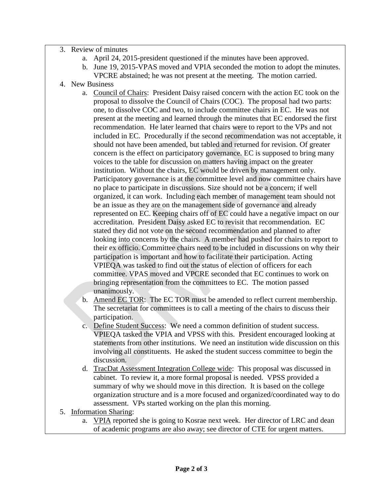- 3. Review of minutes
	- a. April 24, 2015-president questioned if the minutes have been approved.
	- b. June 19, 2015-VPAS moved and VPIA seconded the motion to adopt the minutes. VPCRE abstained; he was not present at the meeting. The motion carried.
- 4. New Business
	- a. Council of Chairs: President Daisy raised concern with the action EC took on the proposal to dissolve the Council of Chairs (COC). The proposal had two parts: one, to dissolve COC and two, to include committee chairs in EC. He was not present at the meeting and learned through the minutes that EC endorsed the first recommendation. He later learned that chairs were to report to the VPs and not included in EC. Procedurally if the second recommendation was not acceptable, it should not have been amended, but tabled and returned for revision. Of greater concern is the effect on participatory governance. EC is supposed to bring many voices to the table for discussion on matters having impact on the greater institution. Without the chairs, EC would be driven by management only. Participatory governance is at the committee level and now committee chairs have no place to participate in discussions. Size should not be a concern; if well organized, it can work. Including each member of management team should not be an issue as they are on the management side of governance and already represented on EC. Keeping chairs off of EC could have a negative impact on our accreditation. President Daisy asked EC to revisit that recommendation. EC stated they did not vote on the second recommendation and planned to after looking into concerns by the chairs. A member had pushed for chairs to report to their ex officio. Committee chairs need to be included in discussions on why their participation is important and how to facilitate their participation. Acting VPIEQA was tasked to find out the status of election of officers for each committee. VPAS moved and VPCRE seconded that EC continues to work on bringing representation from the committees to EC. The motion passed unanimously.
	- b. Amend EC TOR: The EC TOR must be amended to reflect current membership. The secretariat for committees is to call a meeting of the chairs to discuss their participation.
	- c. Define Student Success: We need a common definition of student success. VPIEQA tasked the VPIA and VPSS with this. President encouraged looking at statements from other institutions. We need an institution wide discussion on this involving all constituents. He asked the student success committee to begin the discussion.
	- d. TracDat Assessment Integration College wide: This proposal was discussed in cabinet. To review it, a more formal proposal is needed. VPSS provided a summary of why we should move in this direction. It is based on the college organization structure and is a more focused and organized/coordinated way to do assessment. VPs started working on the plan this morning.
- 5. Information Sharing:
	- a. VPIA reported she is going to Kosrae next week. Her director of LRC and dean of academic programs are also away; see director of CTE for urgent matters.